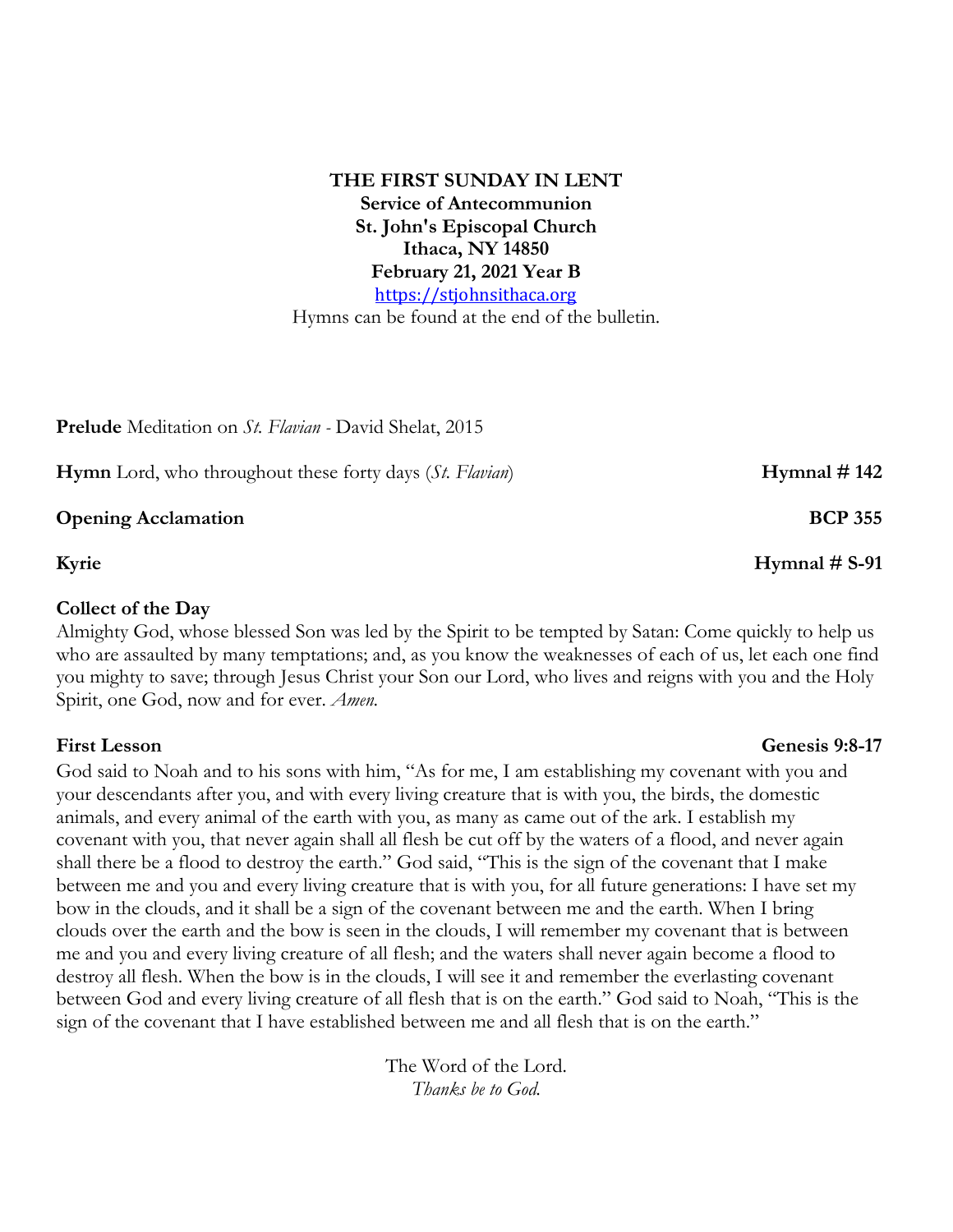**THE FIRST SUNDAY IN LENT Service of Antecommunion St. John's Episcopal Church Ithaca, NY 14850 February 21, 2021 Year B** [https://stjohnsithaca.org](https://stjohnsithaca.org/)

Hymns can be found at the end of the bulletin.

**Prelude** Meditation on *St. Flavian -* David Shelat, 2015

**Hymn** Lord, who throughout these forty days (*St. Flavian*) **Hymnal # 142** 

**Opening Acclamation BCP 355** 

# **Collect of the Day**

Almighty God, whose blessed Son was led by the Spirit to be tempted by Satan: Come quickly to help us who are assaulted by many temptations; and, as you know the weaknesses of each of us, let each one find you mighty to save; through Jesus Christ your Son our Lord, who lives and reigns with you and the Holy Spirit, one God, now and for ever. *Amen.*

God said to Noah and to his sons with him, "As for me, I am establishing my covenant with you and your descendants after you, and with every living creature that is with you, the birds, the domestic animals, and every animal of the earth with you, as many as came out of the ark. I establish my covenant with you, that never again shall all flesh be cut off by the waters of a flood, and never again shall there be a flood to destroy the earth." God said, "This is the sign of the covenant that I make between me and you and every living creature that is with you, for all future generations: I have set my bow in the clouds, and it shall be a sign of the covenant between me and the earth. When I bring clouds over the earth and the bow is seen in the clouds, I will remember my covenant that is between me and you and every living creature of all flesh; and the waters shall never again become a flood to destroy all flesh. When the bow is in the clouds, I will see it and remember the everlasting covenant between God and every living creature of all flesh that is on the earth." God said to Noah, "This is the sign of the covenant that I have established between me and all flesh that is on the earth."

> The Word of the Lord. *Thanks be to God.*

**First Lesson Genesis 9:8-17**

**Kyrie Hymnal # S-91**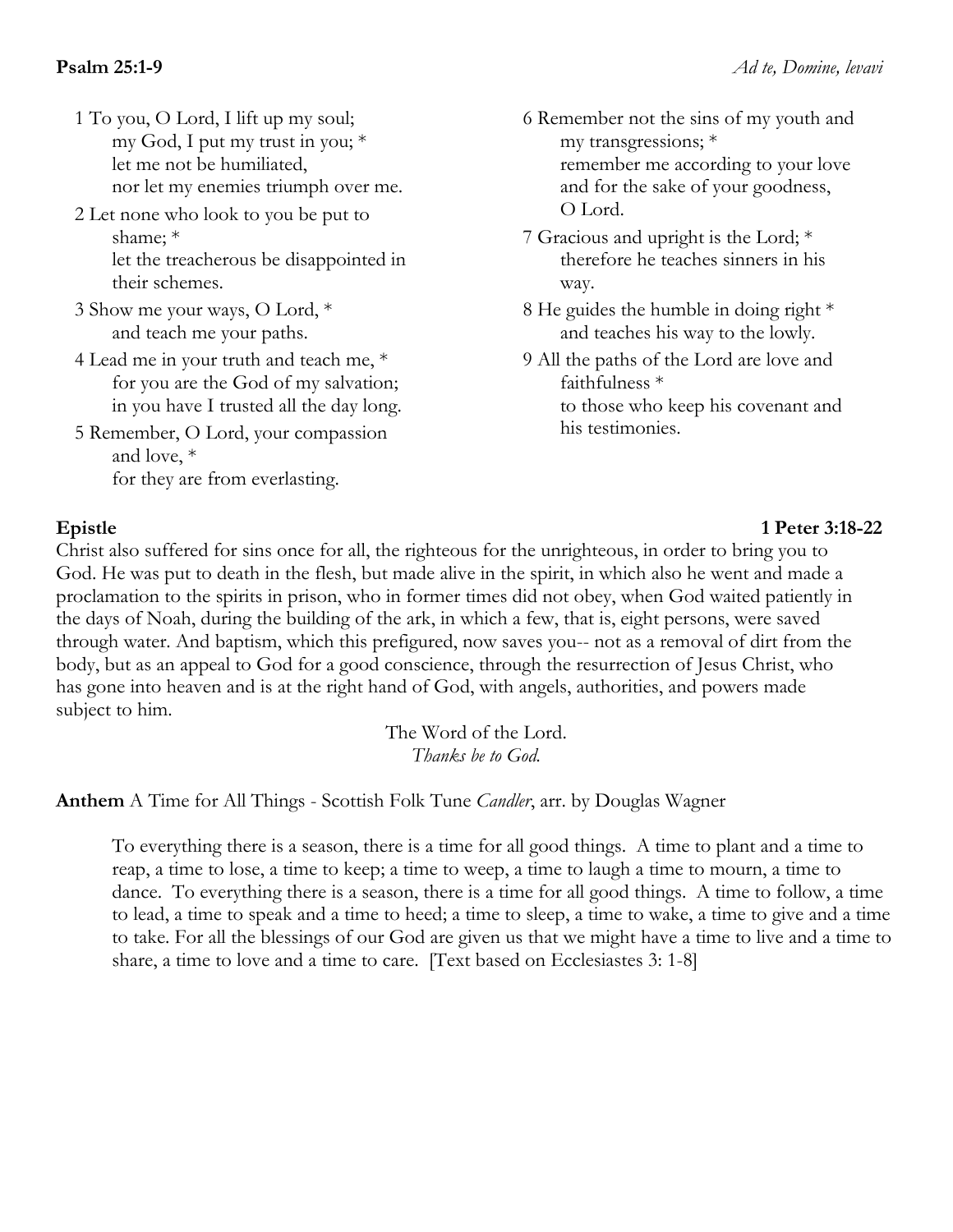- 1 To you, O Lord, I lift up my soul; my God, I put my trust in you; \* let me not be humiliated, nor let my enemies triumph over me.
- 2 Let none who look to you be put to shame; \* let the treacherous be disappointed in their schemes.
- 3 Show me your ways, O Lord, \* and teach me your paths.
- 4 Lead me in your truth and teach me, \* for you are the God of my salvation; in you have I trusted all the day long.
- 5 Remember, O Lord, your compassion and love, \* for they are from everlasting.
- 6 Remember not the sins of my youth and my transgressions; \* remember me according to your love and for the sake of your goodness, O Lord.
- 7 Gracious and upright is the Lord; \* therefore he teaches sinners in his way.
- 8 He guides the humble in doing right \* and teaches his way to the lowly.
- 9 All the paths of the Lord are love and faithfulness \* to those who keep his covenant and his testimonies.

Christ also suffered for sins once for all, the righteous for the unrighteous, in order to bring you to God. He was put to death in the flesh, but made alive in the spirit, in which also he went and made a proclamation to the spirits in prison, who in former times did not obey, when God waited patiently in the days of Noah, during the building of the ark, in which a few, that is, eight persons, were saved through water. And baptism, which this prefigured, now saves you-- not as a removal of dirt from the body, but as an appeal to God for a good conscience, through the resurrection of Jesus Christ, who has gone into heaven and is at the right hand of God, with angels, authorities, and powers made subject to him.

The Word of the Lord. *Thanks be to God.*

# **Anthem** A Time for All Things - Scottish Folk Tune *Candler*, arr. by Douglas Wagner

To everything there is a season, there is a time for all good things. A time to plant and a time to reap, a time to lose, a time to keep; a time to weep, a time to laugh a time to mourn, a time to dance. To everything there is a season, there is a time for all good things. A time to follow, a time to lead, a time to speak and a time to heed; a time to sleep, a time to wake, a time to give and a time to take. For all the blessings of our God are given us that we might have a time to live and a time to share, a time to love and a time to care. [Text based on Ecclesiastes 3: 1-8]

#### **Epistle 1 Peter 3:18-22**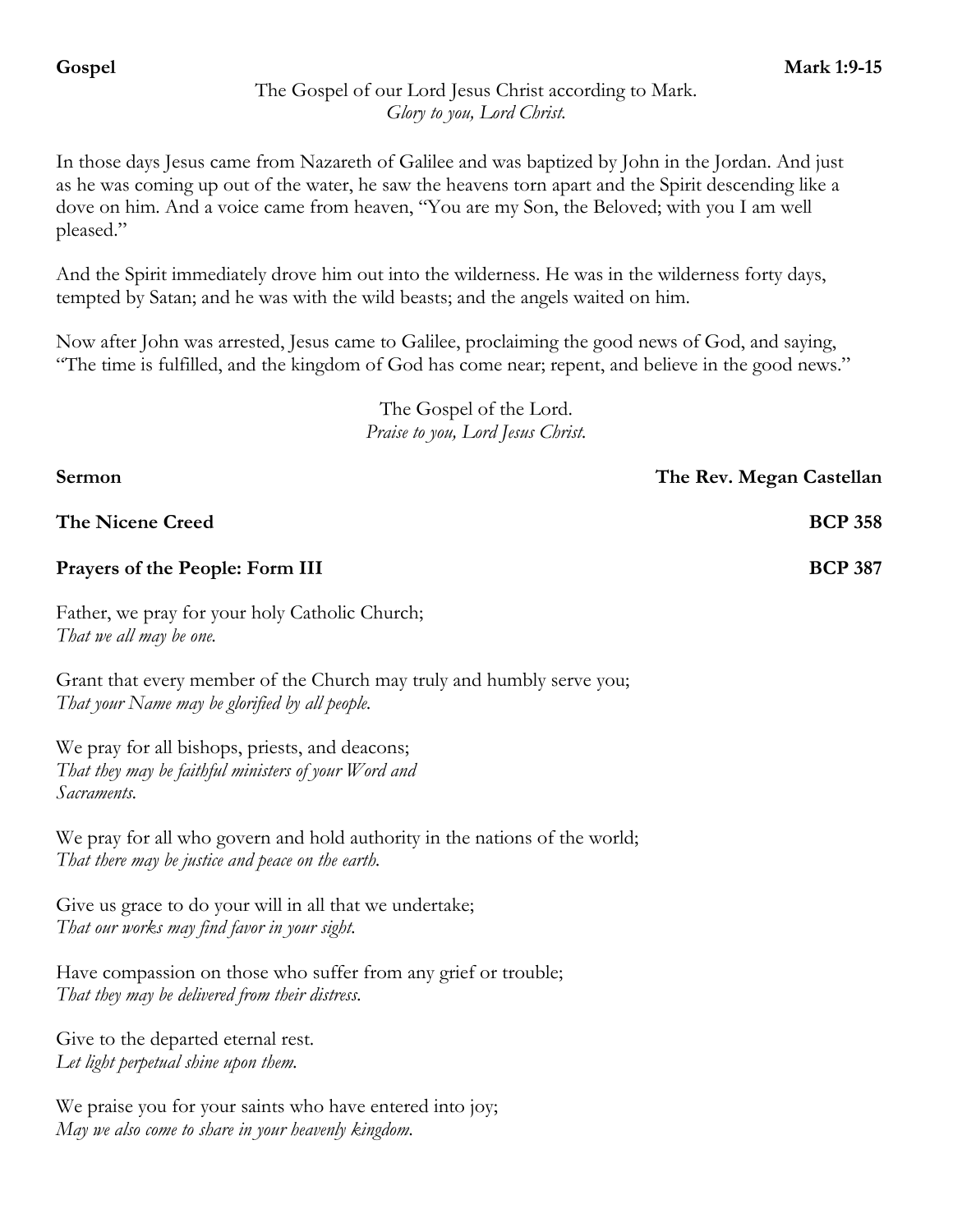## The Gospel of our Lord Jesus Christ according to Mark. *Glory to you, Lord Christ.*

In those days Jesus came from Nazareth of Galilee and was baptized by John in the Jordan. And just as he was coming up out of the water, he saw the heavens torn apart and the Spirit descending like a dove on him. And a voice came from heaven, "You are my Son, the Beloved; with you I am well pleased."

And the Spirit immediately drove him out into the wilderness. He was in the wilderness forty days, tempted by Satan; and he was with the wild beasts; and the angels waited on him.

Now after John was arrested, Jesus came to Galilee, proclaiming the good news of God, and saying, "The time is fulfilled, and the kingdom of God has come near; repent, and believe in the good news."

> The Gospel of the Lord. *Praise to you, Lord Jesus Christ.*

**The Nicene Creed BCP 358**

## **Prayers of the People: Form III BCP 387**

Father, we pray for your holy Catholic Church; *That we all may be one.*

Grant that every member of the Church may truly and humbly serve you; *That your Name may be glorified by all people.*

We pray for all bishops, priests, and deacons; *That they may be faithful ministers of your Word and Sacraments.*

We pray for all who govern and hold authority in the nations of the world; *That there may be justice and peace on the earth.*

Give us grace to do your will in all that we undertake; *That our works may find favor in your sight.*

Have compassion on those who suffer from any grief or trouble; *That they may be delivered from their distress.*

Give to the departed eternal rest. *Let light perpetual shine upon them.*

We praise you for your saints who have entered into joy; *May we also come to share in your heavenly kingdom.*

**Sermon The Rev. Megan Castellan**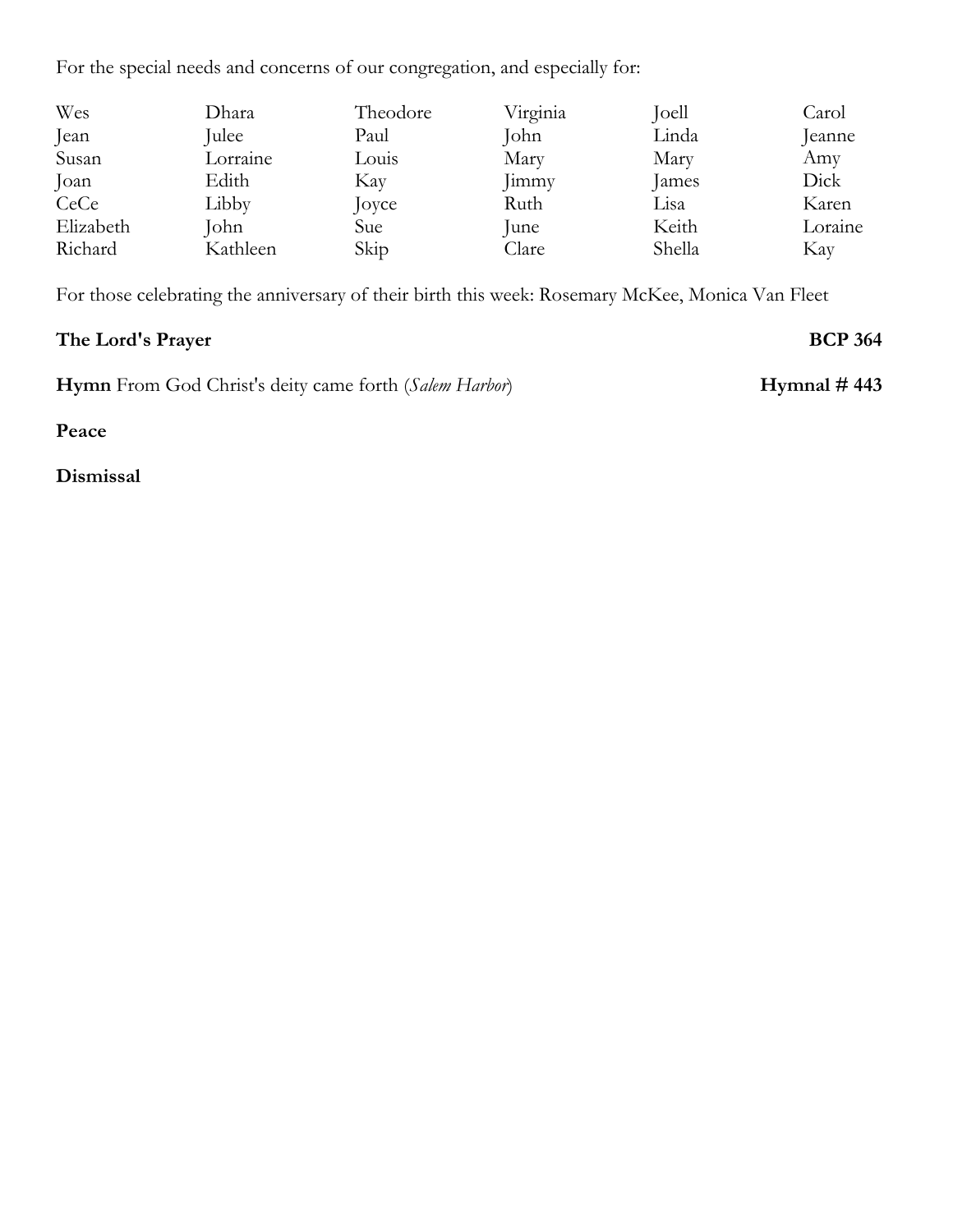For the special needs and concerns of our congregation, and especially for:

| Wes       | Dhara    | Theodore  | Virginia | Joell  | Carol   |
|-----------|----------|-----------|----------|--------|---------|
| Jean      | Julee    | Paul      | John     | Linda  | eanne   |
| Susan     | Lorraine | Louis     | Mary     | Mary   | Amy     |
| Joan      | Edith    | Kay       | immy     | James  | Dick    |
| CeCe      | Libby    | $\log$ ce | Ruth     | Lisa   | Karen   |
| Elizabeth | John     | Sue       | lune     | Keith  | Loraine |
| Richard   | Kathleen | Skip      | Clare    | Shella | Kay     |

For those celebrating the anniversary of their birth this week: Rosemary McKee, Monica Van Fleet

| The Lord's Prayer                                                      | <b>BCP 364</b> |
|------------------------------------------------------------------------|----------------|
| <b>Hymn</b> From God Christ's deity came forth ( <i>Salem Harbor</i> ) | Hymnal $#443$  |

**Peace**

**Dismissal**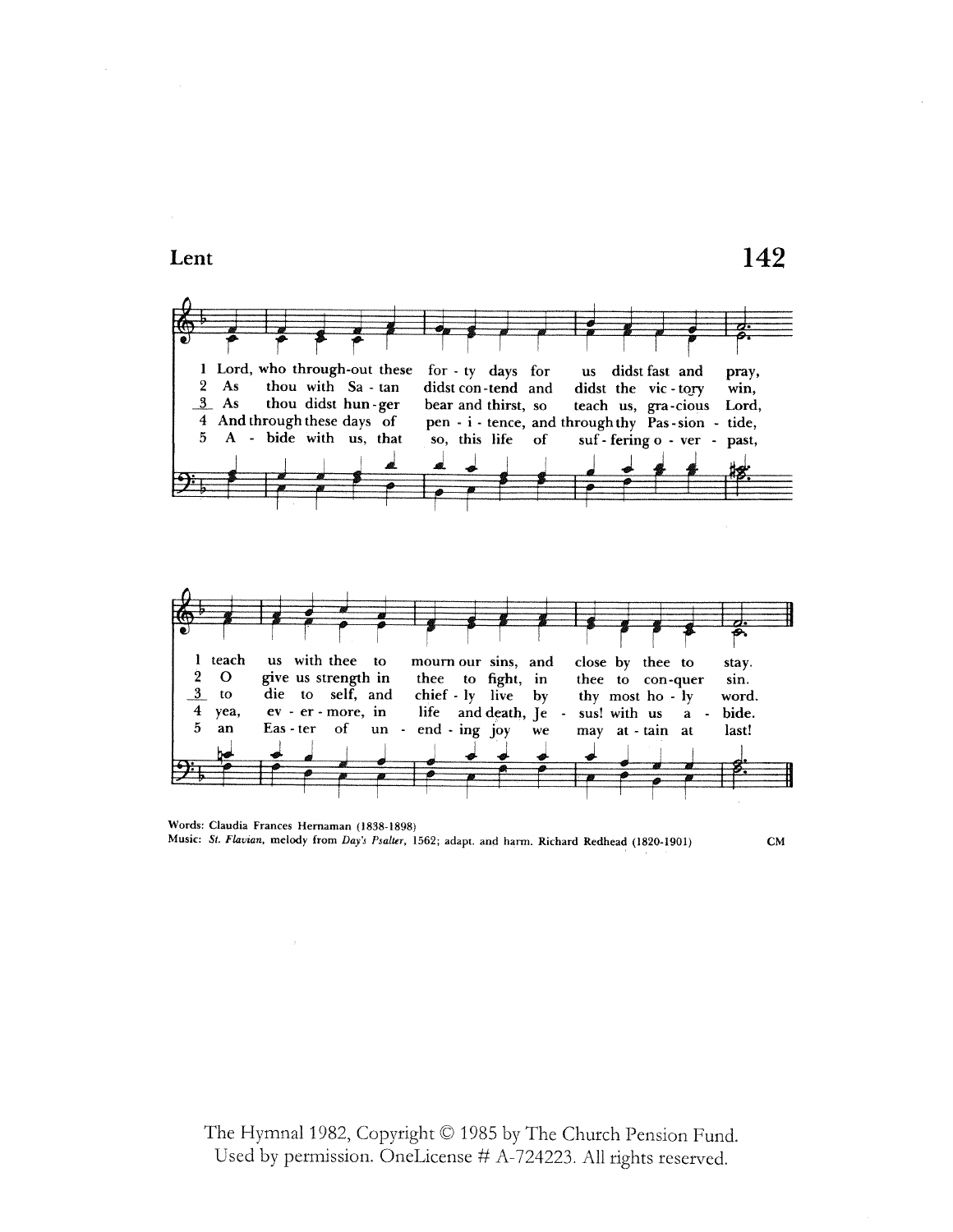Lent





Words: Claudia Frances Hernaman (1838-1898) Music: St. Flavian, melody from Day's Psalter, 1562; adapt. and harm. Richard Redhead (1820-1901)

 ${\bf CM}$ 

The Hymnal 1982, Copyright © 1985 by The Church Pension Fund. Used by permission. OneLicense # A-724223. All rights reserved.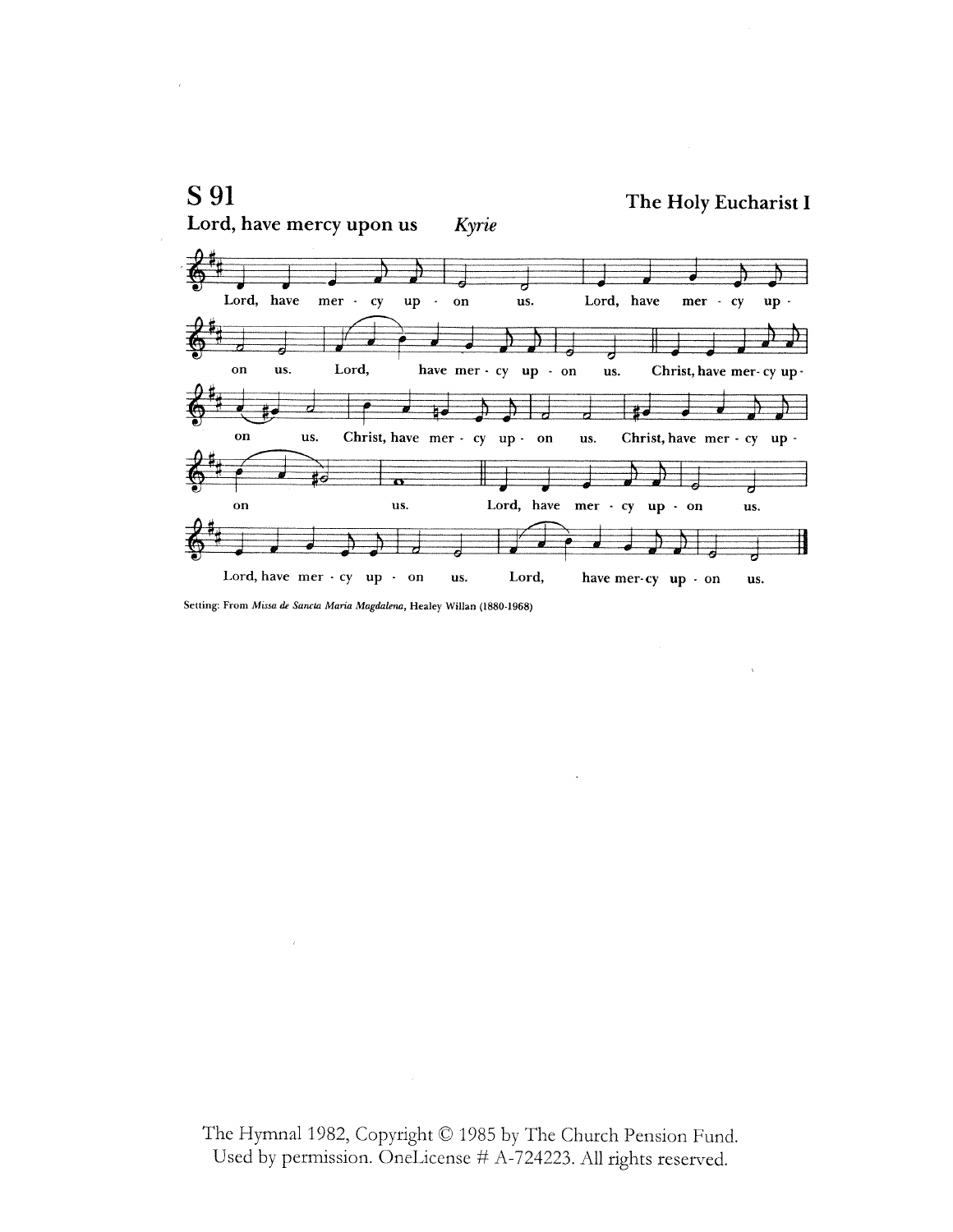

Setting: From Missa de Sancta Maria Magdalena, Healey Willan (1880-1968)

The Hymnal 1982, Copyright © 1985 by The Church Pension Fund. Used by permission. OneLicense # A-724223. All rights reserved.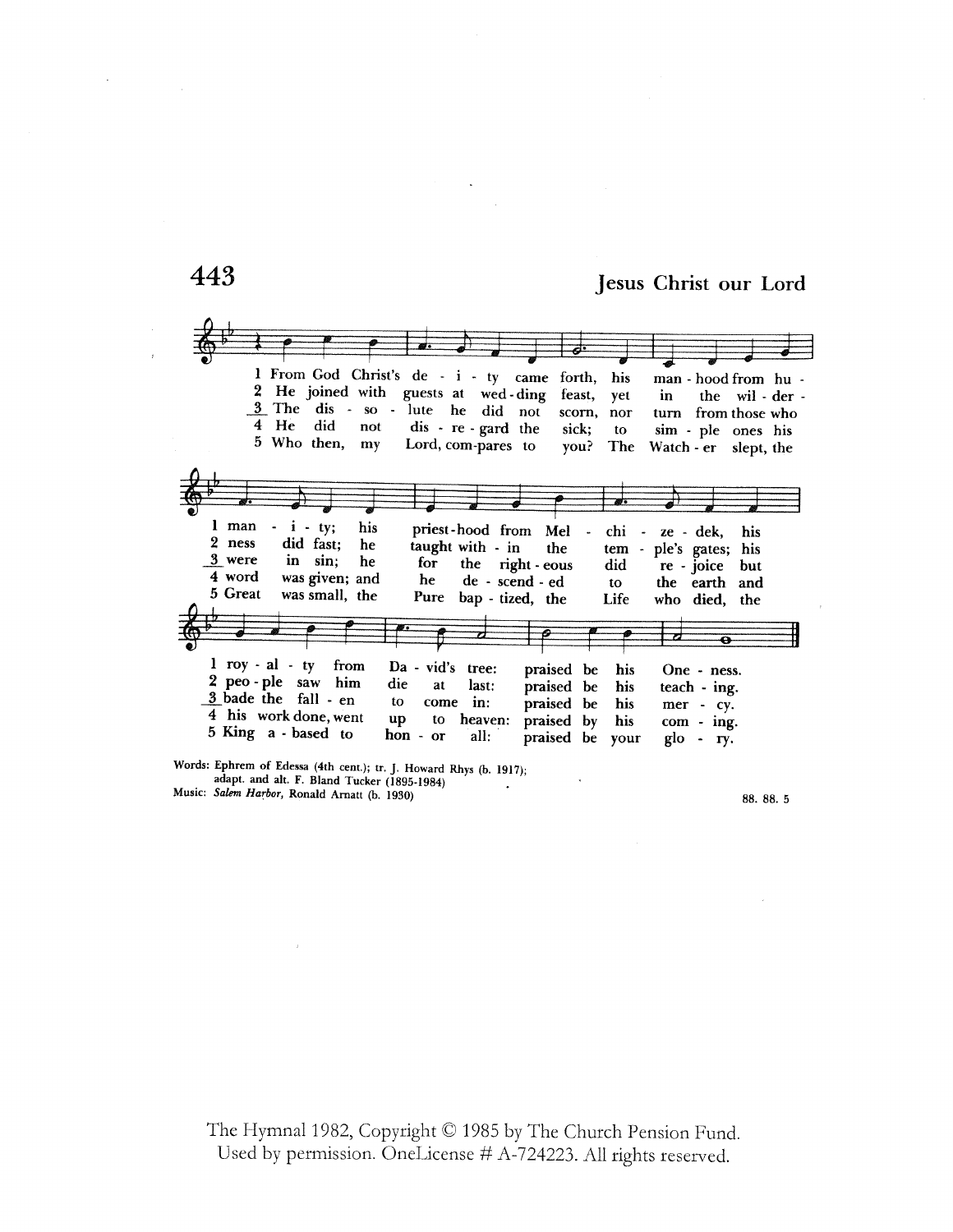1 From God Christ's de - i - ty came forth, his man - hood from hu -2 He joined with guests at wed-ding yet feast, in the wil - der -3 The dis - so - lute he did not scorn, nor turn from those who 4 He did dis - re - gard the  $not$ sick; to sim - ple ones his 5 Who then, my Lord, com-pares to you? The Watch - er slept, the 1 man  $i - ty;$ his priest-hood from Mel chi - ze - dek,  $\ddot{\phantom{a}}$ his 2 ness did fast; he taught with - in the tem  $\sim$ ple's gates; his 3 were in sin; he for the right - eous did re - joice but 4 word was given; and he de - scend - ed to the earth and 5 Great was small, the Pure bap - tized, the Life who died, the  $1 \text{roy} - \text{al} - \text{ty} \quad \text{from}$ Da - vid's tree: praised be his One - ness. 2 peo-ple saw him die at last: praised be his teach - ing. 3 bade the fall - en  $\mathbf{t}$ come in: mer - cy. praised be his 4 his work done, went  $up$ to heaven:  $com - ing$ . praised by his 5 King a - based to hon - or all: praised be  $g$ lo -  $ry$ . your

Words: Ephrem of Edessa (4th cent.); tr. J. Howard Rhys (b. 1917); adapt. and alt. F. Bland Tucker (1895-1984) Music: Salem Harbor, Ronald Arnatt (b. 1930)

88.88.5

Jesus Christ our Lord

The Hymnal 1982, Copyright © 1985 by The Church Pension Fund. Used by permission. OneLicense # A-724223. All rights reserved.

443